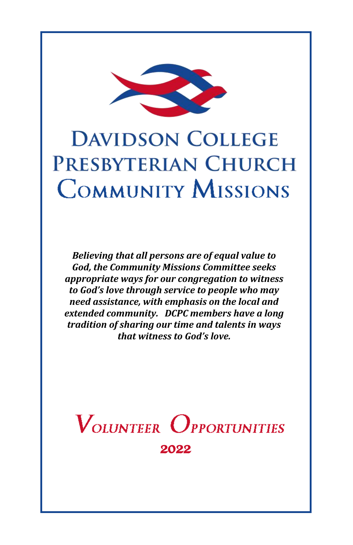

# **DAVIDSON COLLEGE PRESBYTERIAN CHURCH COMMUNITY MISSIONS**

*Believing that all persons are of equal value to God, the Community Missions Committee seeks appropriate ways for our congregation to witness to God's love through service to people who may need assistance, with emphasis on the local and extended community. DCPC members have a long tradition of sharing our time and talents in ways that witness to God's love.*

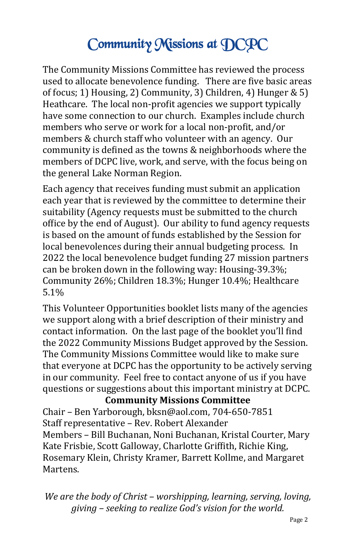# Community Missions at DCPC

The Community Missions Committee has reviewed the process used to allocate benevolence funding. There are five basic areas of focus; 1) Housing, 2) Community, 3) Children, 4) Hunger & 5) Heathcare. The local non-profit agencies we support typically have some connection to our church. Examples include church members who serve or work for a local non-profit, and/or members & church staff who volunteer with an agency. Our community is defined as the towns & neighborhoods where the members of DCPC live, work, and serve, with the focus being on the general Lake Norman Region.

Each agency that receives funding must submit an application each year that is reviewed by the committee to determine their suitability (Agency requests must be submitted to the church office by the end of August). Our ability to fund agency requests is based on the amount of funds established by the Session for local benevolences during their annual budgeting process. In 2022 the local benevolence budget funding 27 mission partners can be broken down in the following way: Housing-39.3%; Community 26%; Children 18.3%; Hunger 10.4%; Healthcare 5.1%

This Volunteer Opportunities booklet lists many of the agencies we support along with a brief description of their ministry and contact information. On the last page of the booklet you'll find the 2022 Community Missions Budget approved by the Session. The Community Missions Committee would like to make sure that everyone at DCPC has the opportunity to be actively serving in our community. Feel free to contact anyone of us if you have questions or suggestions about this important ministry at DCPC.

**Community Missions Committee** 

Chair – Ben Yarborough, bksn@aol.com, 704-650-7851 Staff representative – Rev. Robert Alexander Members – Bill Buchanan, Noni Buchanan, Kristal Courter, Mary Kate Frisbie, Scott Galloway, Charlotte Griffith, Richie King, Rosemary Klein, Christy Kramer, Barrett Kollme, and Margaret Martens.

*We are the body of Christ – worshipping, learning, serving, loving, giving – seeking to realize God's vision for the world.*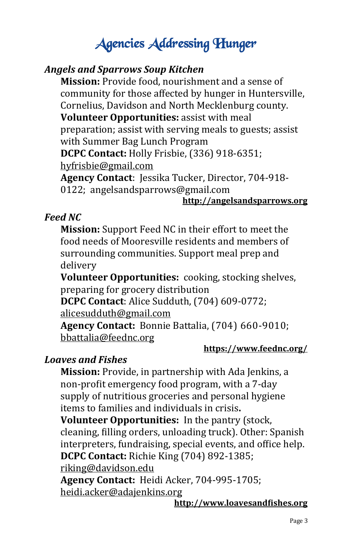# Agencies Addressing Hunger

#### *Angels and Sparrows Soup Kitchen*

**Mission:** Provide food, nourishment and a sense of community for those affected by hunger in Huntersville, Cornelius, Davidson and North Mecklenburg county. **Volunteer Opportunities:** assist with meal preparation; assist with serving meals to guests; assist with Summer Bag Lunch Program **DCPC Contact:** Holly Frisbie, (336) 918-6351; [hyfrisbie@gmail.com](mailto:hyfrisbie@gmail.com) **Agency Contact**: Jessika Tucker, Director, 704-918-

0122; angelsandsparrows@gmail.com

#### **<http://angelsandsparrows.org>**

#### *Feed NC*

**Mission:** Support Feed NC in their effort to meet the food needs of Mooresville residents and members of surrounding communities. Support meal prep and delivery

**Volunteer Opportunities:** cooking, stocking shelves, preparing for grocery distribution

**DCPC Contact**: Alice Sudduth, (704) 609-0772; [alicesudduth@gmail.com](mailto:alicesudduth@gmail.com)

**Agency Contact:** Bonnie Battalia, (704) 660-9010; [bbattalia@feednc.org](mailto:bbattalia@feednc.org)

#### **<https://www.feednc.org/>**

# *Loaves and Fishes*

**Mission:** Provide, in partnership with Ada Jenkins, a non-profit emergency food program, with a 7-day supply of nutritious groceries and personal hygiene items to families and individuals in crisis**.** 

**Volunteer Opportunities:** In the pantry (stock, cleaning, filling orders, unloading truck). Other: Spanish interpreters, fundraising, special events, and office help. **DCPC Contact:** Richie King (704) 892-1385;

[riking@davidson.edu](mailto:riking@davidson.edu)

**Agency Contact:** Heidi Acker, 704-995-1705; [heidi.acker@adajenkins.org](mailto:heidi.acker@adajenkins.org)

**<http://www.loavesandfishes.org>**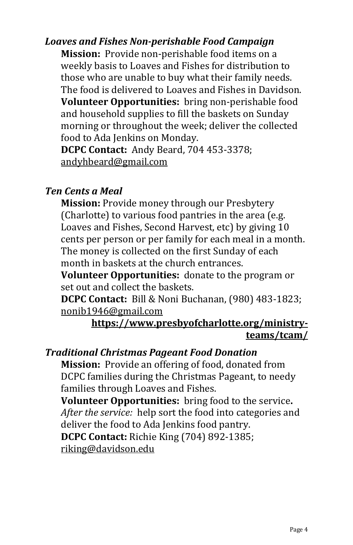# *Loaves and Fishes Non-perishable Food Campaign*

**Mission:** Provide non-perishable food items on a weekly basis to Loaves and Fishes for distribution to those who are unable to buy what their family needs. The food is delivered to Loaves and Fishes in Davidson. **Volunteer Opportunities:** bring non-perishable food and household supplies to fill the baskets on Sunday morning or throughout the week; deliver the collected food to Ada Jenkins on Monday.

**DCPC Contact:** Andy Beard, 704 453-3378; [andyhbeard@gmail.com](mailto:andyhbeard@gmail.com)

#### *Ten Cents a Meal*

**Mission:** Provide money through our Presbytery (Charlotte) to various food pantries in the area (e.g. Loaves and Fishes, Second Harvest, etc) by giving 10 cents per person or per family for each meal in a month. The money is collected on the first Sunday of each month in baskets at the church entrances.

**Volunteer Opportunities:** donate to the program or set out and collect the baskets.

**DCPC Contact:** Bill & Noni Buchanan, (980) 483-1823; [nonib1946@gmail.com](mailto:nonib1946@gmail.com)

#### **[https://www.presbyofcharlotte.org/ministry](https://www.presbyofcharlotte.org/ministry-teams/tcam/)[teams/tcam/](https://www.presbyofcharlotte.org/ministry-teams/tcam/)**

#### *Traditional Christmas Pageant Food Donation*

**Mission:** Provide an offering of food, donated from DCPC families during the Christmas Pageant, to needy families through Loaves and Fishes.

**Volunteer Opportunities:** bring food to the service**.**  *After the service:* help sort the food into categories and deliver the food to Ada Jenkins food pantry. **DCPC Contact:** Richie King (704) 892-1385; [riking@davidson.edu](mailto:riking@davidson.edu)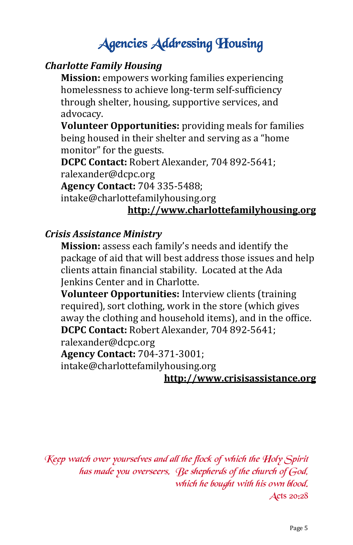# Agencies Addressing Housing

# *Charlotte Family Housing*

**Mission:** empowers working families experiencing homelessness to achieve long-term self-sufficiency through shelter, housing, supportive services, and advocacy.

**Volunteer Opportunities:** providing meals for families being housed in their shelter and serving as a "home monitor" for the guests.

**DCPC Contact:** Robert Alexander, 704 892-5641; ralexander@dcpc.org

**Agency Contact:** 704 335-5488;

intake@charlottefamilyhousing.org

# **<http://www.charlottefamilyhousing.org>**

#### *Crisis Assistance Ministry*

**Mission:** assess each family's needs and identify the package of aid that will best address those issues and help clients attain financial stability. Located at the Ada Jenkins Center and in Charlotte.

**Volunteer Opportunities:** Interview clients (training required), sort clothing, work in the store (which gives away the clothing and household items), and in the office. **DCPC Contact:** Robert Alexander, 704 892-5641; ralexander@dcpc.org

**Agency Contact:** 704-371-3001;

intake@charlottefamilyhousing.org

#### **<http://www.crisisassistance.org>**

Keep watch over yourselves and all the flock of which the Holy Spirit has made you overseers. Be shepherds of the church of God, which he bought with his own blood. Acts 20:28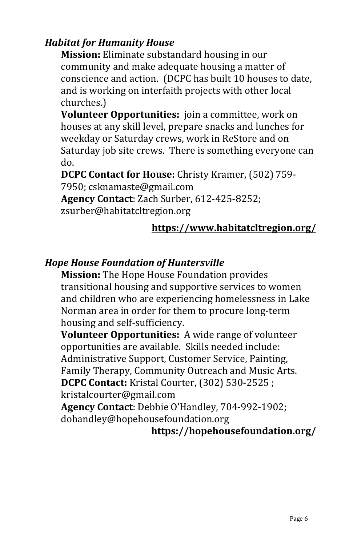# *Habitat for Humanity House*

**Mission:** Eliminate substandard housing in our community and make adequate housing a matter of conscience and action. (DCPC has built 10 houses to date, and is working on interfaith projects with other local churches.)

**Volunteer Opportunities:** join a committee, work on houses at any skill level, prepare snacks and lunches for weekday or Saturday crews, work in ReStore and on Saturday job site crews. There is something everyone can do.

**DCPC Contact for House:** Christy Kramer, (502) 759- 7950; [csknamaste@gmail.com](mailto:csknamaste@gmail.com) **Agency Contact**: Zach Surber, 612-425-8252;

zsurber@habitatcltregion.org

# **<https://www.habitatcltregion.org/>**

# *Hope House Foundation of Huntersville*

**Mission:** The Hope House Foundation provides transitional housing and supportive services to women and children who are experiencing homelessness in Lake Norman area in order for them to procure long-term housing and self-sufficiency.

**Volunteer Opportunities:** A wide range of volunteer opportunities are available. Skills needed include: Administrative Support, Customer Service, Painting, Family Therapy, Community Outreach and Music Arts. **DCPC Contact:** Kristal Courter, (302) 530-2525 ; kristalcourter@gmail.com

**Agency Contact**: Debbie O'Handley, 704-992-1902; dohandley@hopehousefoundation.org

#### **https://hopehousefoundation.org/**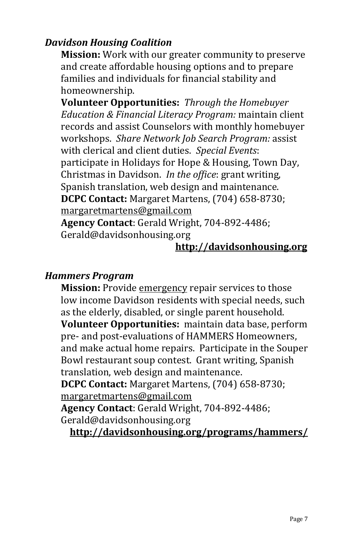# *Davidson Housing Coalition*

**Mission:** Work with our greater community to preserve and create affordable housing options and to prepare families and individuals for financial stability and homeownership.

**Volunteer Opportunities:** *Through the Homebuyer Education & Financial Literacy Program:* maintain client records and assist Counselors with monthly homebuyer workshops. *Share Network Job Search Program:* assist with clerical and client duties. *Special Events*: participate in Holidays for Hope & Housing, Town Day, Christmas in Davidson. *In the office*: grant writing, Spanish translation, web design and maintenance. **DCPC Contact:** Margaret Martens, (704) 658-8730; [margaretmartens@gmail.com](mailto:margaretmartens@gmail.com) **Agency Contact**: Gerald Wright, 704-892-4486;

Gerald@davidsonhousing.org

#### **<http://davidsonhousing.org>**

#### *Hammers Program*

**Mission:** Provide emergency repair services to those low income Davidson residents with special needs, such as the elderly, disabled, or single parent household. **Volunteer Opportunities:** maintain data base, perform pre- and post-evaluations of HAMMERS Homeowners, and make actual home repairs. Participate in the Souper Bowl restaurant soup contest. Grant writing, Spanish translation, web design and maintenance. **DCPC Contact:** Margaret Martens, (704) 658-8730;

[margaretmartens@gmail.com](mailto:margaretmartens@gmail.com)

**Agency Contact**: Gerald Wright, 704-892-4486; Gerald@davidsonhousing.org

**<http://davidsonhousing.org/programs/hammers/>**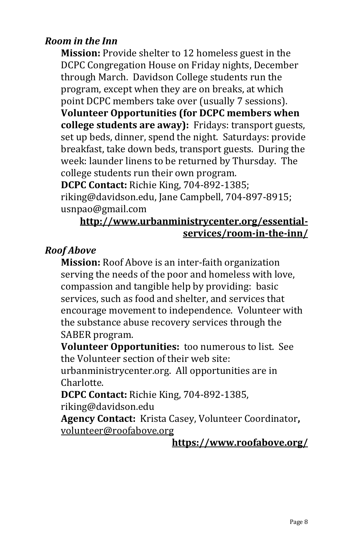### *Room in the Inn*

**Mission:** Provide shelter to 12 homeless guest in the DCPC Congregation House on Friday nights, December through March. Davidson College students run the program, except when they are on breaks, at which point DCPC members take over (usually 7 sessions). **Volunteer Opportunities (for DCPC members when college students are away):** Fridays: transport guests, set up beds, dinner, spend the night. Saturdays: provide breakfast, take down beds, transport guests. During the week: launder linens to be returned by Thursday. The college students run their own program.

**DCPC Contact:** Richie King, 704-892-1385;

riking@davidson.edu, Jane Campbell, 704-897-8915; usnpao@gmail.com

#### **[http://www.urbanministrycenter.org/essential](http://www.urbanministrycenter.org/essential-services/room-in-the-inn/)[services/room](http://www.urbanministrycenter.org/essential-services/room-in-the-inn/)-in-the-inn/**

# *Roof Above*

**Mission:** Roof Above is an inter-faith organization serving the needs of the poor and homeless with love, compassion and tangible help by providing: basic services, such as food and shelter, and services that encourage movement to independence. Volunteer with the substance abuse recovery services through the SABER program.

**Volunteer Opportunities:** too numerous to list. See the Volunteer section of their web site:

urbanministrycenter.org. All opportunities are in Charlotte.

**DCPC Contact:** Richie King, 704-892-1385, riking@davidson.edu

**Agency Contact:** Krista Casey, Volunteer Coordinator**,**  [volunteer@roofabove.org](mailto:volunteer@roofabove.org)

#### **<https://www.roofabove.org/>**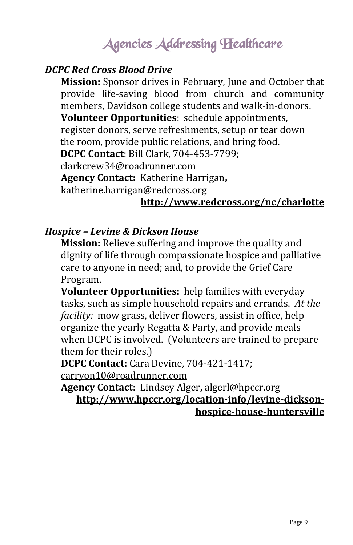# Agencies Addressing Healthcare

#### *DCPC Red Cross Blood Drive*

**Mission:** Sponsor drives in February, June and October that provide life-saving blood from church and community members, Davidson college students and walk-in-donors. **Volunteer Opportunities**: schedule appointments, register donors, serve refreshments, setup or tear down the room, provide public relations, and bring food. **DCPC Contact**: Bill Clark, 704-453-7799; [clarkcrew34@roadrunner.com](mailto:clarkcrew34@roadrunner.com) **Agency Contact:** Katherine Harrigan**,**  [katherine.harrigan@redcross.org](mailto:katherine.harrigan@redcross.org)

# **<http://www.redcross.org/nc/charlotte>**

#### *Hospice – Levine & Dickson House*

**Mission:** Relieve suffering and improve the quality and dignity of life through compassionate hospice and palliative care to anyone in need; and, to provide the Grief Care Program.

**Volunteer Opportunities:** help families with everyday tasks, such as simple household repairs and errands. *At the facility:* mow grass, deliver flowers, assist in office, help organize the yearly Regatta & Party, and provide meals when DCPC is involved. (Volunteers are trained to prepare them for their roles.)

**DCPC Contact:** Cara Devine, 704-421-1417;

[carryon10@roadrunner.com](mailto:carryon10@roadrunner.com)

**Agency Contact:** Lindsey Alger**,** algerl@hpccr.org **[http://www.hpccr.org/location](http://www.hpccr.org/location-info/levine-dickson-hospice-house-huntersville)-info/levine-dicksonhospice-house-[huntersville](http://www.hpccr.org/location-info/levine-dickson-hospice-house-huntersville)**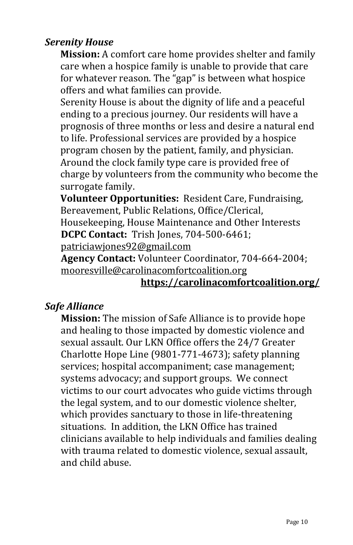# *Serenity House*

**Mission:** A comfort care home provides shelter and family care when a hospice family is unable to provide that care for whatever reason. The "gap" is between what hospice offers and what families can provide.

Serenity House is about the dignity of life and a peaceful ending to a precious journey. Our residents will have a prognosis of three months or less and desire a natural end to life. Professional services are provided by a hospice program chosen by the patient, family, and physician. Around the clock family type care is provided free of charge by volunteers from the community who become the surrogate family.

**Volunteer Opportunities:** Resident Care, Fundraising, Bereavement, Public Relations, Office/Clerical, Housekeeping, House Maintenance and Other Interests **DCPC Contact:** Trish Jones, 704-500-6461; [patriciawjones92@gmail.com](mailto:patriciawjones92@gmail.com)

**Agency Contact:** Volunteer Coordinator, 704-664-2004; [mooresville@carolinacomfortcoalition.org](mailto:mooresville@carolinacomfortcoalition.org)

#### **<https://carolinacomfortcoalition.org/>**

#### *Safe Alliance*

**Mission:** The mission of Safe Alliance is to provide hope and healing to those impacted by domestic violence and sexual assault. Our LKN Office offers the 24/7 Greater Charlotte Hope Line (9801-771-4673); safety planning services; hospital accompaniment; case management; systems advocacy; and support groups. We connect victims to our court advocates who guide victims through the legal system, and to our domestic violence shelter, which provides sanctuary to those in life-threatening situations. In addition, the LKN Office has trained clinicians available to help individuals and families dealing with trauma related to domestic violence, sexual assault, and child abuse.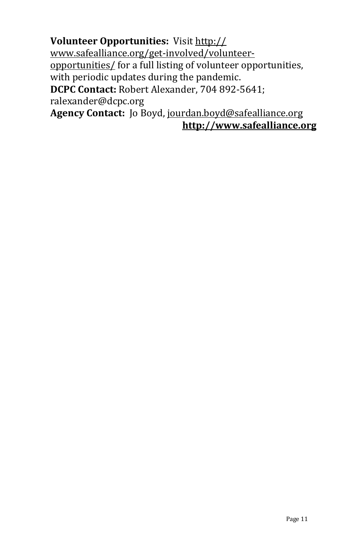**Volunteer Opportunities:** Visit [http://](http://www.safealliance.org/get-involved/volunteer-opportunities/) [www.safealliance.org/get](http://www.safealliance.org/get-involved/volunteer-opportunities/)-involved/volunteer[opportunities/](http://www.safealliance.org/get-involved/volunteer-opportunities/) for a full listing of volunteer opportunities, with periodic updates during the pandemic. **DCPC Contact:** Robert Alexander, 704 892-5641; ralexander@dcpc.org **Agency Contact:** Jo Boyd, [jourdan.boyd@safealliance.org](mailto:jourdan.boyd@safealliance.org)

**<http://www.safealliance.org>**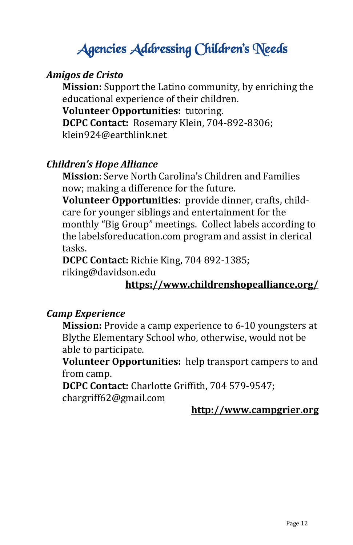# Agencies Addressing Children's Needs

#### *Amigos de Cristo*

**Mission:** Support the Latino community, by enriching the educational experience of their children.

**Volunteer Opportunities:** tutoring.

**DCPC Contact:** Rosemary Klein, 704-892-8306; klein924@earthlink.net

#### *Children's Hope Alliance*

**Mission**: Serve North Carolina's Children and Families now; making a difference for the future.

**Volunteer Opportunities**: provide dinner, crafts, childcare for younger siblings and entertainment for the monthly "Big Group" meetings. Collect labels according to the labelsforeducation.com program and assist in clerical tasks.

**DCPC Contact:** Richie King, 704 892-1385; riking@davidson.edu

### **<https://www.childrenshopealliance.org/>**

#### *Camp Experience*

**Mission:** Provide a camp experience to 6-10 youngsters at Blythe Elementary School who, otherwise, would not be able to participate.

**Volunteer Opportunities:** help transport campers to and from camp.

**DCPC Contact:** Charlotte Griffith, 704 579-9547; [chargriff62@gmail.com](mailto:chargriff62@gmail.com)

#### **<http://www.campgrier.org>**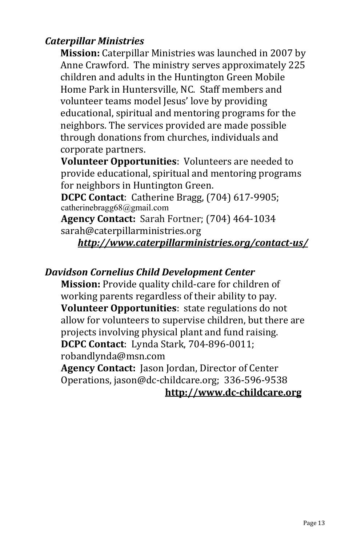# *Caterpillar Ministries*

**Mission:** Caterpillar Ministries was launched in 2007 by Anne Crawford. The ministry serves approximately 225 children and adults in the Huntington Green Mobile Home Park in Huntersville, NC. Staff members and volunteer teams model Jesus' love by providing educational, spiritual and mentoring programs for the neighbors. The services provided are made possible through donations from churches, individuals and corporate partners.

**Volunteer Opportunities**: Volunteers are needed to provide educational, spiritual and mentoring programs for neighbors in Huntington Green.

**DCPC Contact**: Catherine Bragg, (704) 617-9905; catherinebragg68@gmail.com

**Agency Contact:** Sarah Fortner; (704) 464-1034 sarah@caterpillarministries.org

*[http://www.caterpillarministries.org/contact](http://www.caterpillarministries.org/contact-us/)-us/*

#### *Davidson Cornelius Child Development Center*

**Mission:** Provide quality child-care for children of working parents regardless of their ability to pay. **Volunteer Opportunities**: state regulations do not allow for volunteers to supervise children, but there are projects involving physical plant and fund raising. **DCPC Contact**: Lynda Stark, 704-896-0011; robandlynda@msn.com

**Agency Contact:** Jason Jordan, Director of Center Operations, jason@dc-childcare.org; 336-596-9538 **[http://www.dc](http://www.dc-childcare.org)-childcare.org**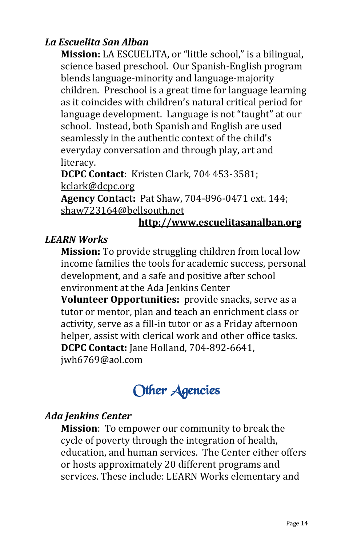# *La Escuelita San Alban*

**Mission:** LA ESCUELITA, or "little school," is a bilingual, science based preschool. Our Spanish-English program blends language-minority and language-majority children. Preschool is a great time for language learning as it coincides with children's natural critical period for language development. Language is not "taught" at our school. Instead, both Spanish and English are used seamlessly in the authentic context of the child's everyday conversation and through play, art and literacy.

**DCPC Contact**: Kristen Clark, 704 453-3581; [kclark@dcpc.org](mailto:kclark@dcpc.org)

**Agency Contact:** Pat Shaw, 704-896-0471 ext. 144; [shaw723164@bellsouth.net](mailto:shaw723164@bellsouth.net)

#### **<http://www.escuelitasanalban.org>**

#### *LEARN Works*

**Mission:** To provide struggling children from local low income families the tools for academic success, personal development, and a safe and positive after school environment at the Ada Jenkins Center

**Volunteer Opportunities:** provide snacks, serve as a tutor or mentor, plan and teach an enrichment class or activity, serve as a fill-in tutor or as a Friday afternoon helper, assist with clerical work and other office tasks. **DCPC Contact:** Jane Holland, 704-892-6641, jwh6769@aol.com



# *Ada Jenkins Center*

**Mission**: To empower our community to break the cycle of poverty through the integration of health, education, and human services. The Center either offers or hosts approximately 20 different programs and services. These include: LEARN Works elementary and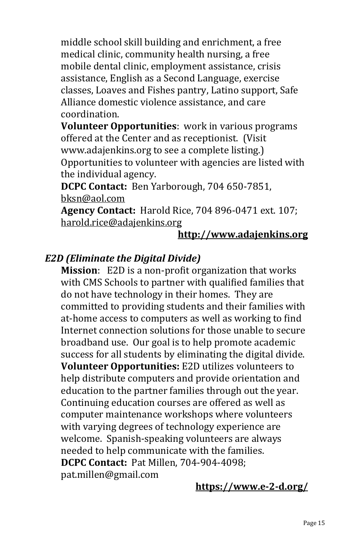middle school skill building and enrichment, a free medical clinic, community health nursing, a free mobile dental clinic, employment assistance, crisis assistance, English as a Second Language, exercise classes, Loaves and Fishes pantry, Latino support, Safe Alliance domestic violence assistance, and care coordination.

**Volunteer Opportunities**: work in various programs offered at the Center and as receptionist. (Visit www.adajenkins.org to see a complete listing.) Opportunities to volunteer with agencies are listed with the individual agency.

**DCPC Contact:** Ben Yarborough, 704 650-7851, [bksn@aol.com](mailto:bksn@aol.com)

**Agency Contact:** Harold Rice, 704 896-0471 ext. 107; [harold.rice@adajenkins.org](mailto:harold.rice@adajenkins.org)

#### **<http://www.adajenkins.org>**

# *E2D (Eliminate the Digital Divide)*

**Mission**: E2D is a non-profit organization that works with CMS Schools to partner with qualified families that do not have technology in their homes. They are committed to providing students and their families with at-home access to computers as well as working to find Internet connection solutions for those unable to secure broadband use. Our goal is to help promote academic success for all students by eliminating the digital divide. **Volunteer Opportunities:** E2D utilizes volunteers to help distribute computers and provide orientation and education to the partner families through out the year. Continuing education courses are offered as well as computer maintenance workshops where volunteers with varying degrees of technology experience are welcome. Spanish-speaking volunteers are always needed to help communicate with the families. **DCPC Contact:** Pat Millen, 704-904-4098; pat.millen@gmail.com

#### **[https://www.e](https://www.e-2-d.org/)-2-d.org/**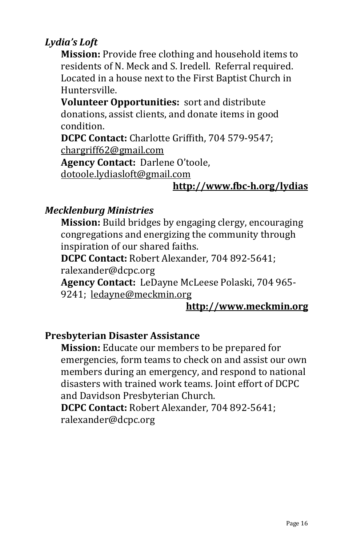# *Lydia's Loft*

**Mission:** Provide free clothing and household items to residents of N. Meck and S. Iredell. Referral required. Located in a house next to the First Baptist Church in Huntersville.

**Volunteer Opportunities:** sort and distribute donations, assist clients, and donate items in good condition.

**DCPC Contact:** Charlotte Griffith, 704 579-9547; [chargriff62@gmail.com](mailto:chargriff62@gmail.com)

**Agency Contact:** Darlene O'toole,

[dotoole.lydiasloft@gmail.com](mailto:dotoole.lydiasloft@gmail.com)

# **[http://www.fbc](http://www.fbc-h.org/missions/lydias-loft.html)-h.org/lydias**

# *Mecklenburg Ministries*

**Mission:** Build bridges by engaging clergy, encouraging congregations and energizing the community through inspiration of our shared faiths.

**DCPC Contact:** Robert Alexander, 704 892-5641;

ralexander@dcpc.org

**Agency Contact:** LeDayne McLeese Polaski, 704 965- 9241; [ledayne@meckmin.org](mailto:ledayne@meckmin.org) 

# **<http://www.meckmin.org>**

# **Presbyterian Disaster Assistance**

**Mission:** Educate our members to be prepared for emergencies, form teams to check on and assist our own members during an emergency, and respond to national disasters with trained work teams. Joint effort of DCPC and Davidson Presbyterian Church.

**DCPC Contact:** Robert Alexander, 704 892-5641; ralexander@dcpc.org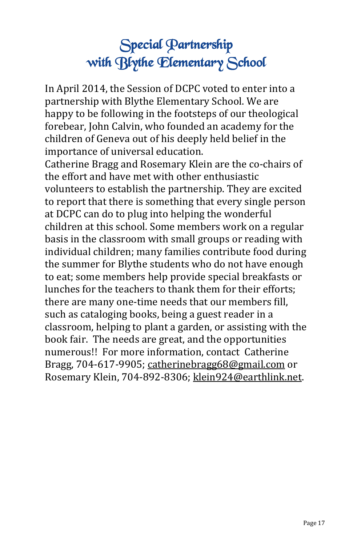# Special Partnership with Blythe Elementary School

In April 2014, the Session of DCPC voted to enter into a partnership with Blythe Elementary School. We are happy to be following in the footsteps of our theological forebear, John Calvin, who founded an academy for the children of Geneva out of his deeply held belief in the importance of universal education.

Catherine Bragg and Rosemary Klein are the co-chairs of the effort and have met with other enthusiastic volunteers to establish the partnership. They are excited to report that there is something that every single person at DCPC can do to plug into helping the wonderful children at this school. Some members work on a regular basis in the classroom with small groups or reading with individual children; many families contribute food during the summer for Blythe students who do not have enough to eat; some members help provide special breakfasts or lunches for the teachers to thank them for their efforts; there are many one-time needs that our members fill, such as cataloging books, being a guest reader in a classroom, helping to plant a garden, or assisting with the book fair. The needs are great, and the opportunities numerous!! For more information, contact Catherine Bragg, 704-617-9905; [catherinebragg68@gmail.com](mailto:catherinebragg68@gmail.com) or Rosemary Klein, 704-892-8306; [klein924@earthlink.net.](mailto:klein924@earthlink.net)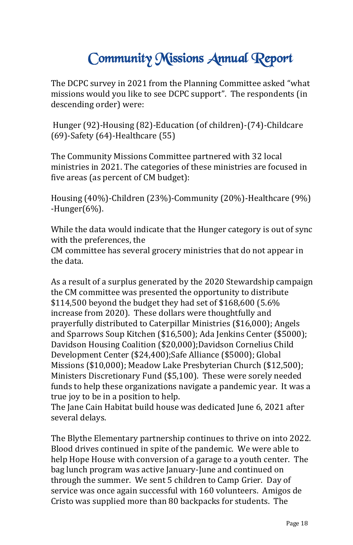# Community Missions Annual Report

The DCPC survey in 2021 from the Planning Committee asked "what missions would you like to see DCPC support". The respondents (in descending order) were:

Hunger (92)-Housing (82)-Education (of children)-(74)-Childcare (69)-Safety (64)-Healthcare (55)

The Community Missions Committee partnered with 32 local ministries in 2021. The categories of these ministries are focused in five areas (as percent of CM budget):

Housing (40%)-Children (23%)-Community (20%)-Healthcare (9%) -Hunger(6%).

While the data would indicate that the Hunger category is out of sync with the preferences, the

CM committee has several grocery ministries that do not appear in the data.

As a result of a surplus generated by the 2020 Stewardship campaign the CM committee was presented the opportunity to distribute \$114,500 beyond the budget they had set of \$168,600 (5.6% increase from 2020). These dollars were thoughtfully and prayerfully distributed to Caterpillar Ministries (\$16,000); Angels and Sparrows Soup Kitchen (\$16,500); Ada Jenkins Center (\$5000); Davidson Housing Coalition (\$20,000);Davidson Cornelius Child Development Center (\$24,400);Safe Alliance (\$5000); Global Missions (\$10,000); Meadow Lake Presbyterian Church (\$12,500); Ministers Discretionary Fund (\$5,100). These were sorely needed funds to help these organizations navigate a pandemic year. It was a true joy to be in a position to help.

The Jane Cain Habitat build house was dedicated June 6, 2021 after several delays.

The Blythe Elementary partnership continues to thrive on into 2022. Blood drives continued in spite of the pandemic. We were able to help Hope House with conversion of a garage to a youth center. The bag lunch program was active January-June and continued on through the summer. We sent 5 children to Camp Grier. Day of service was once again successful with 160 volunteers. Amigos de Cristo was supplied more than 80 backpacks for students. The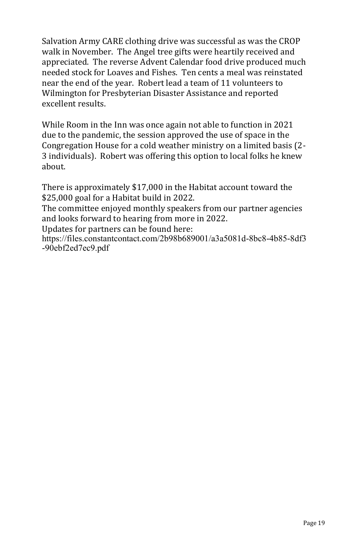Salvation Army CARE clothing drive was successful as was the CROP walk in November. The Angel tree gifts were heartily received and appreciated. The reverse Advent Calendar food drive produced much needed stock for Loaves and Fishes. Ten cents a meal was reinstated near the end of the year. Robert lead a team of 11 volunteers to Wilmington for Presbyterian Disaster Assistance and reported excellent results.

While Room in the Inn was once again not able to function in 2021 due to the pandemic, the session approved the use of space in the Congregation House for a cold weather ministry on a limited basis (2- 3 individuals). Robert was offering this option to local folks he knew about.

There is approximately \$17,000 in the Habitat account toward the \$25,000 goal for a Habitat build in 2022.

The committee enjoyed monthly speakers from our partner agencies and looks forward to hearing from more in 2022.

Updates for partners can be found here:

https://files.constantcontact.com/2b98b689001/a3a5081d-8bc8-4b85-8df3 -90ebf2ed7ec9.pdf